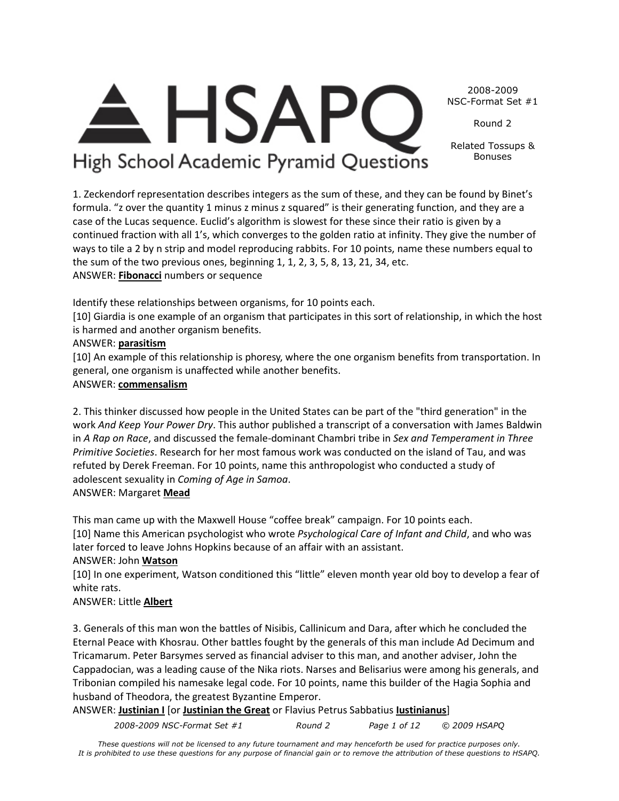2008-2009 NSC-Format Set #1 Round 2

> Related Tossups & Bonuses

1. Zeckendorf representation describes integers as the sum of these, and they can be found by Binet's formula. "z over the quantity 1 minus z minus z squared" is their generating function, and they are a case of the Lucas sequence. Euclid's algorithm is slowest for these since their ratio is given by a continued fraction with all 1's, which converges to the golden ratio at infinity. They give the number of ways to tile a 2 by n strip and model reproducing rabbits. For 10 points, name these numbers equal to the sum of the two previous ones, beginning 1, 1, 2, 3, 5, 8, 13, 21, 34, etc. ANSWER: **Fibonacci** numbers or sequence

Identify these relationships between organisms, for 10 points each.

**HSAP** 

High School Academic Pyramid Questions

[10] Giardia is one example of an organism that participates in this sort of relationship, in which the host is harmed and another organism benefits.

# ANSWER: **parasitism**

[10] An example of this relationship is phoresy, where the one organism benefits from transportation. In general, one organism is unaffected while another benefits.

# ANSWER: **commensalism**

2. This thinker discussed how people in the United States can be part of the "third generation" in the work *And Keep Your Power Dry*. This author published a transcript of a conversation with James Baldwin in *A Rap on Race*, and discussed the female-dominant Chambri tribe in *Sex and Temperament in Three Primitive Societies*. Research for her most famous work was conducted on the island of Tau, and was refuted by Derek Freeman. For 10 points, name this anthropologist who conducted a study of adolescent sexuality in *Coming of Age in Samoa*. ANSWER: Margaret **Mead**

This man came up with the Maxwell House "coffee break" campaign. For 10 points each.

[10] Name this American psychologist who wrote *Psychological Care of Infant and Child*, and who was later forced to leave Johns Hopkins because of an affair with an assistant.

# ANSWER: John **Watson**

[10] In one experiment, Watson conditioned this "little" eleven month year old boy to develop a fear of white rats.

# ANSWER: Little **Albert**

3. Generals of this man won the battles of Nisibis, Callinicum and Dara, after which he concluded the Eternal Peace with Khosrau. Other battles fought by the generals of this man include Ad Decimum and Tricamarum. Peter Barsymes served as financial adviser to this man, and another adviser, John the Cappadocian, was a leading cause of the Nika riots. Narses and Belisarius were among his generals, and Tribonian compiled his namesake legal code. For 10 points, name this builder of the Hagia Sophia and husband of Theodora, the greatest Byzantine Emperor.

ANSWER: **Justinian I** [or **Justinian the Great** or Flavius Petrus Sabbatius **Iustinianus**]

*2008-2009 NSC-Format Set #1 Round 2 Page 1 of 12 © 2009 HSAPQ*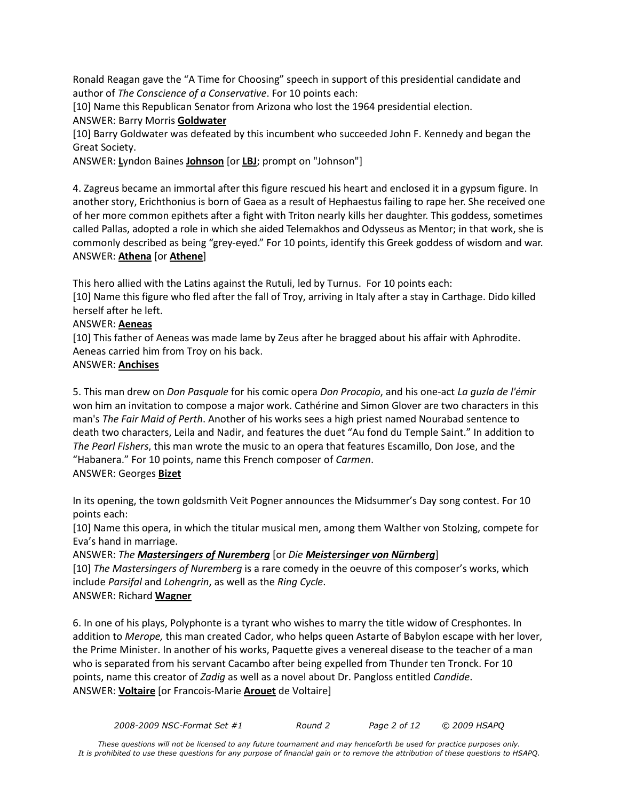Ronald Reagan gave the "A Time for Choosing" speech in support of this presidential candidate and author of *The Conscience of a Conservative*. For 10 points each:

[10] Name this Republican Senator from Arizona who lost the 1964 presidential election.

ANSWER: Barry Morris **Goldwater**

[10] Barry Goldwater was defeated by this incumbent who succeeded John F. Kennedy and began the Great Society.

ANSWER: **L**yndon Baines **Johnson** [or **LBJ**; prompt on "Johnson"]

4. Zagreus became an immortal after this figure rescued his heart and enclosed it in a gypsum figure. In another story, Erichthonius is born of Gaea as a result of Hephaestus failing to rape her. She received one of her more common epithets after a fight with Triton nearly kills her daughter. This goddess, sometimes called Pallas, adopted a role in which she aided Telemakhos and Odysseus as Mentor; in that work, she is commonly described as being "grey-eyed." For 10 points, identify this Greek goddess of wisdom and war. ANSWER: **Athena** [or **Athene**]

This hero allied with the Latins against the Rutuli, led by Turnus. For 10 points each:

[10] Name this figure who fled after the fall of Troy, arriving in Italy after a stay in Carthage. Dido killed herself after he left.

### ANSWER: **Aeneas**

[10] This father of Aeneas was made lame by Zeus after he bragged about his affair with Aphrodite. Aeneas carried him from Troy on his back.

### ANSWER: **Anchises**

5. This man drew on *Don Pasquale* for his comic opera *Don Procopio*, and his one-act *La guzla de l'émir* won him an invitation to compose a major work. Cathérine and Simon Glover are two characters in this man's *The Fair Maid of Perth*. Another of his works sees a high priest named Nourabad sentence to death two characters, Leila and Nadir, and features the duet "Au fond du Temple Saint." In addition to *The Pearl Fishers*, this man wrote the music to an opera that features Escamillo, Don Jose, and the "Habanera." For 10 points, name this French composer of *Carmen*.

# ANSWER: Georges **Bizet**

In its opening, the town goldsmith Veit Pogner announces the Midsummer's Day song contest. For 10 points each:

[10] Name this opera, in which the titular musical men, among them Walther von Stolzing, compete for Eva's hand in marriage.

### ANSWER: *The Mastersingers of Nuremberg* [or *Die Meistersinger von Nürnberg*]

[10] *The Mastersingers of Nuremberg* is a rare comedy in the oeuvre of this composer's works, which include *Parsifal* and *Lohengrin*, as well as the *Ring Cycle*. ANSWER: Richard **Wagner**

6. In one of his plays, Polyphonte is a tyrant who wishes to marry the title widow of Cresphontes. In addition to *Merope,* this man created Cador, who helps queen Astarte of Babylon escape with her lover, the Prime Minister. In another of his works, Paquette gives a venereal disease to the teacher of a man who is separated from his servant Cacambo after being expelled from Thunder ten Tronck. For 10 points, name this creator of *Zadig* as well as a novel about Dr. Pangloss entitled *Candide*. ANSWER: **Voltaire** [or Francois-Marie **Arouet** de Voltaire]

*2008-2009 NSC-Format Set #1 Round 2 Page 2 of 12 © 2009 HSAPQ*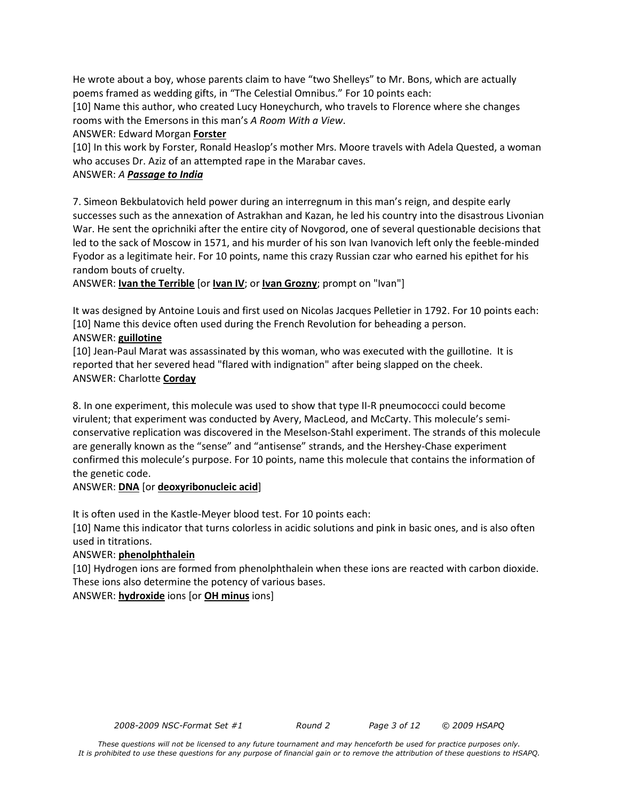He wrote about a boy, whose parents claim to have "two Shelleys" to Mr. Bons, which are actually poems framed as wedding gifts, in "The Celestial Omnibus." For 10 points each:

[10] Name this author, who created Lucy Honeychurch, who travels to Florence where she changes rooms with the Emersons in this man's *A Room With a View*.

ANSWER: Edward Morgan **Forster**

[10] In this work by Forster, Ronald Heaslop's mother Mrs. Moore travels with Adela Quested, a woman who accuses Dr. Aziz of an attempted rape in the Marabar caves.

### ANSWER: *A Passage to India*

7. Simeon Bekbulatovich held power during an interregnum in this man's reign, and despite early successes such as the annexation of Astrakhan and Kazan, he led his country into the disastrous Livonian War. He sent the oprichniki after the entire city of Novgorod, one of several questionable decisions that led to the sack of Moscow in 1571, and his murder of his son Ivan Ivanovich left only the feeble-minded Fyodor as a legitimate heir. For 10 points, name this crazy Russian czar who earned his epithet for his random bouts of cruelty.

ANSWER: **Ivan the Terrible** [or **Ivan IV**; or **Ivan Grozny**; prompt on "Ivan"]

It was designed by Antoine Louis and first used on Nicolas Jacques Pelletier in 1792. For 10 points each: [10] Name this device often used during the French Revolution for beheading a person.

### ANSWER: **guillotine**

[10] Jean-Paul Marat was assassinated by this woman, who was executed with the guillotine. It is reported that her severed head "flared with indignation" after being slapped on the cheek. ANSWER: Charlotte **Corday**

8. In one experiment, this molecule was used to show that type II-R pneumococci could become virulent; that experiment was conducted by Avery, MacLeod, and McCarty. This molecule's semiconservative replication was discovered in the Meselson-Stahl experiment. The strands of this molecule are generally known as the "sense" and "antisense" strands, and the Hershey-Chase experiment confirmed this molecule's purpose. For 10 points, name this molecule that contains the information of the genetic code.

# ANSWER: **DNA** [or **deoxyribonucleic acid**]

It is often used in the Kastle-Meyer blood test. For 10 points each:

[10] Name this indicator that turns colorless in acidic solutions and pink in basic ones, and is also often used in titrations.

# ANSWER: **phenolphthalein**

[10] Hydrogen ions are formed from phenolphthalein when these ions are reacted with carbon dioxide. These ions also determine the potency of various bases.

ANSWER: **hydroxide** ions [or **OH minus** ions]

*2008-2009 NSC-Format Set #1 Round 2 Page 3 of 12 © 2009 HSAPQ*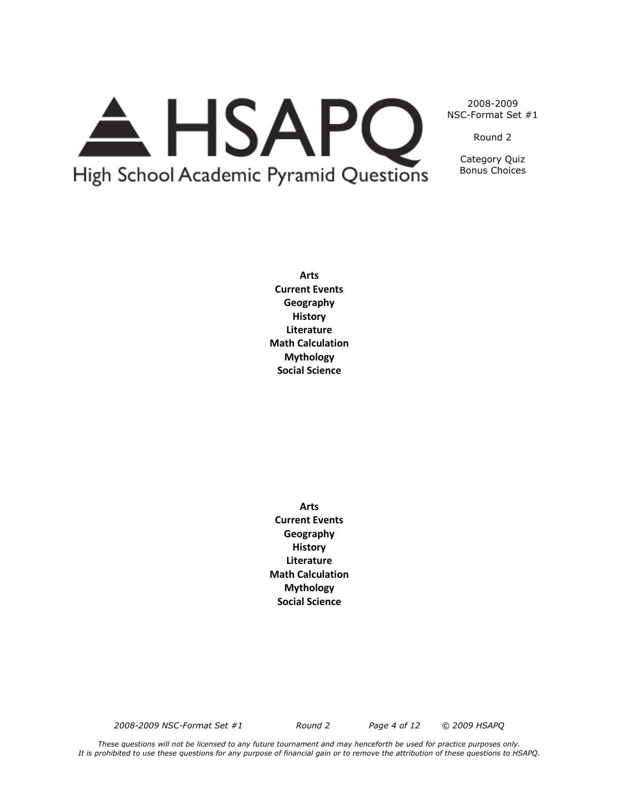# A HSAPQ High School Academic Pyramid Questions

2008-2009 NSC-Format Set #1

Round 2

Category Quiz Bonus Choices

**Arts Current Events Geography History Literature Math Calculation Mythology Social Science**

**Arts Current Events Geography History Literature Math Calculation Mythology Social Science**

*2008-2009 NSC-Format Set #1 Round 2 Page 4 of 12 © 2009 HSAPQ*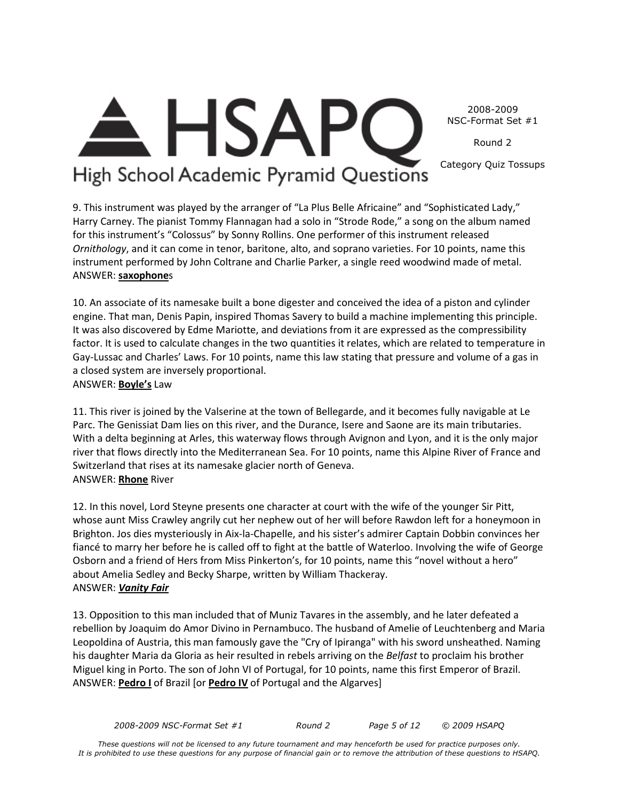2008-2009 NSC-Format Set #1

Round 2

Category Quiz Tossups

# **HSAP** High School Academic Pyramid Questions

9. This instrument was played by the arranger of "La Plus Belle Africaine" and "Sophisticated Lady," Harry Carney. The pianist Tommy Flannagan had a solo in "Strode Rode," a song on the album named for this instrument's "Colossus" by Sonny Rollins. One performer of this instrument released *Ornithology*, and it can come in tenor, baritone, alto, and soprano varieties. For 10 points, name this instrument performed by John Coltrane and Charlie Parker, a single reed woodwind made of metal. ANSWER: **saxophone**s

10. An associate of its namesake built a bone digester and conceived the idea of a piston and cylinder engine. That man, Denis Papin, inspired Thomas Savery to build a machine implementing this principle. It was also discovered by Edme Mariotte, and deviations from it are expressed as the compressibility factor. It is used to calculate changes in the two quantities it relates, which are related to temperature in Gay-Lussac and Charles' Laws. For 10 points, name this law stating that pressure and volume of a gas in a closed system are inversely proportional. ANSWER: **Boyle's** Law

11. This river is joined by the Valserine at the town of Bellegarde, and it becomes fully navigable at Le Parc. The Genissiat Dam lies on this river, and the Durance, Isere and Saone are its main tributaries. With a delta beginning at Arles, this waterway flows through Avignon and Lyon, and it is the only major river that flows directly into the Mediterranean Sea. For 10 points, name this Alpine River of France and Switzerland that rises at its namesake glacier north of Geneva. ANSWER: **Rhone** River

12. In this novel, Lord Steyne presents one character at court with the wife of the younger Sir Pitt, whose aunt Miss Crawley angrily cut her nephew out of her will before Rawdon left for a honeymoon in Brighton. Jos dies mysteriously in Aix-la-Chapelle, and his sister's admirer Captain Dobbin convinces her fiancé to marry her before he is called off to fight at the battle of Waterloo. Involving the wife of George Osborn and a friend of Hers from Miss Pinkerton's, for 10 points, name this "novel without a hero" about Amelia Sedley and Becky Sharpe, written by William Thackeray. ANSWER: *Vanity Fair*

13. Opposition to this man included that of Muniz Tavares in the assembly, and he later defeated a rebellion by Joaquim do Amor Divino in Pernambuco. The husband of Amelie of Leuchtenberg and Maria Leopoldina of Austria, this man famously gave the "Cry of Ipiranga" with his sword unsheathed. Naming his daughter Maria da Gloria as heir resulted in rebels arriving on the *Belfast* to proclaim his brother Miguel king in Porto. The son of John VI of Portugal, for 10 points, name this first Emperor of Brazil. ANSWER: **Pedro I** of Brazil [or **Pedro IV** of Portugal and the Algarves]

*2008-2009 NSC-Format Set #1 Round 2 Page 5 of 12 © 2009 HSAPQ*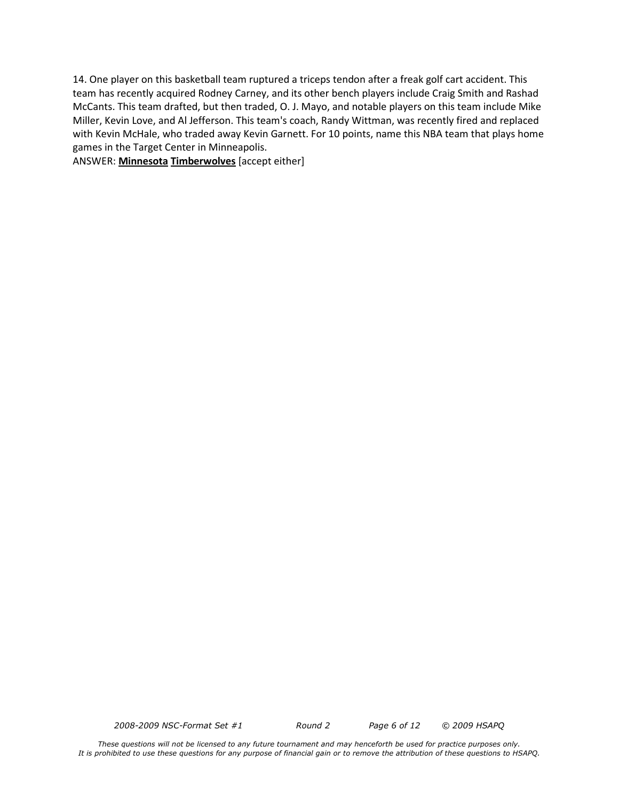14. One player on this basketball team ruptured a triceps tendon after a freak golf cart accident. This team has recently acquired Rodney Carney, and its other bench players include Craig Smith and Rashad McCants. This team drafted, but then traded, O. J. Mayo, and notable players on this team include Mike Miller, Kevin Love, and Al Jefferson. This team's coach, Randy Wittman, was recently fired and replaced with Kevin McHale, who traded away Kevin Garnett. For 10 points, name this NBA team that plays home games in the Target Center in Minneapolis.

ANSWER: **Minnesota Timberwolves** [accept either]

*2008-2009 NSC-Format Set #1 Round 2 Page 6 of 12 © 2009 HSAPQ*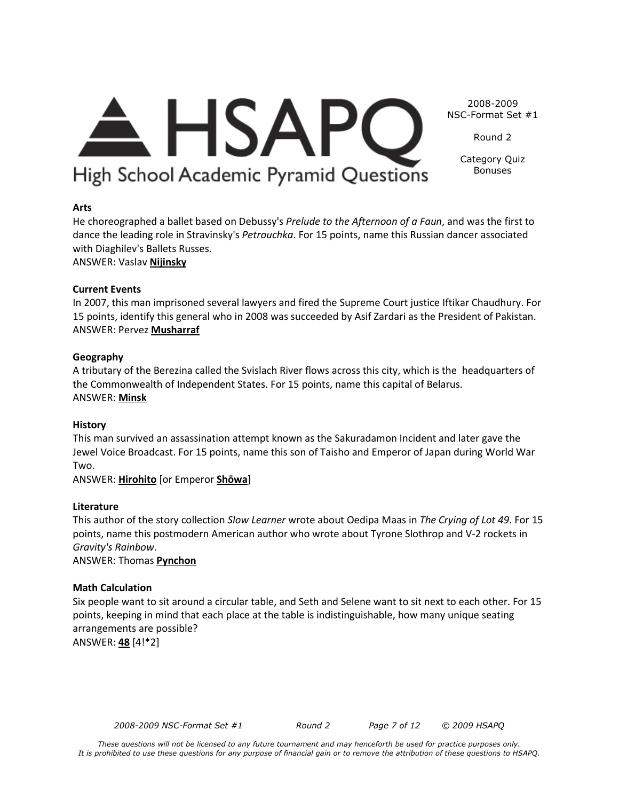# 2008-2009  $\triangle$  HSAPC NSC-Format Set #1 Round 2

Category Quiz Bonuses

**Arts**

He choreographed a ballet based on Debussy's *Prelude to the Afternoon of a Faun*, and was the first to dance the leading role in Stravinsky's *Petrouchka*. For 15 points, name this Russian dancer associated with Diaghilev's Ballets Russes.

High School Academic Pyramid Questions

# ANSWER: Vaslav **Nijinsky**

# **Current Events**

In 2007, this man imprisoned several lawyers and fired the Supreme Court justice Iftikar Chaudhury. For 15 points, identify this general who in 2008 was succeeded by Asif Zardari as the President of Pakistan. ANSWER: Pervez **Musharraf**

# **Geography**

A tributary of the Berezina called the Svislach River flows across this city, which is the headquarters of the Commonwealth of Independent States. For 15 points, name this capital of Belarus. ANSWER: **Minsk**

# **History**

This man survived an assassination attempt known as the Sakuradamon Incident and later gave the Jewel Voice Broadcast. For 15 points, name this son of Taisho and Emperor of Japan during World War Two.

ANSWER: **Hirohito** [or Emperor **Shōwa**]

# **Literature**

This author of the story collection *Slow Learner* wrote about Oedipa Maas in *The Crying of Lot 49*. For 15 points, name this postmodern American author who wrote about Tyrone Slothrop and V-2 rockets in *Gravity's Rainbow*.

ANSWER: Thomas **Pynchon**

# **Math Calculation**

Six people want to sit around a circular table, and Seth and Selene want to sit next to each other. For 15 points, keeping in mind that each place at the table is indistinguishable, how many unique seating arrangements are possible? ANSWER: **48** [4!\*2]

*2008-2009 NSC-Format Set #1 Round 2 Page 7 of 12 © 2009 HSAPQ*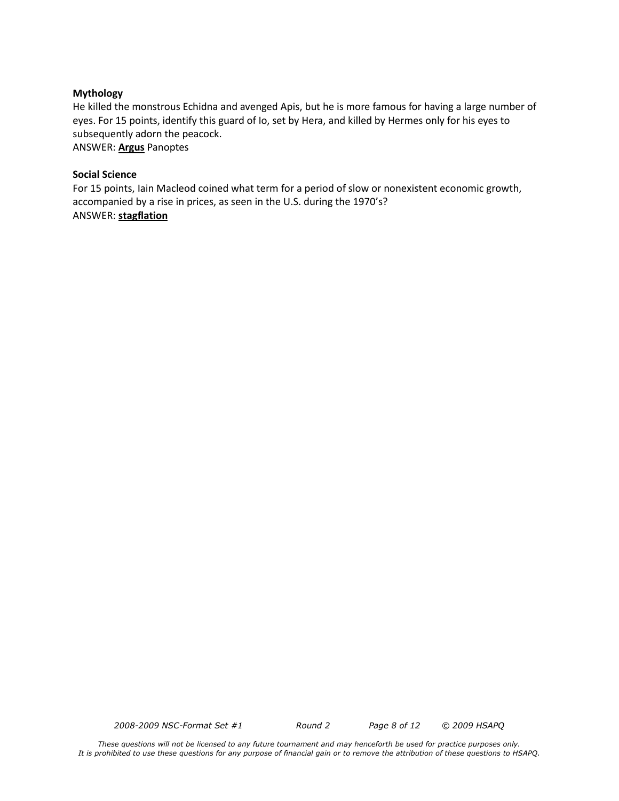#### **Mythology**

He killed the monstrous Echidna and avenged Apis, but he is more famous for having a large number of eyes. For 15 points, identify this guard of Io, set by Hera, and killed by Hermes only for his eyes to subsequently adorn the peacock. ANSWER: **Argus** Panoptes

#### **Social Science**

For 15 points, Iain Macleod coined what term for a period of slow or nonexistent economic growth, accompanied by a rise in prices, as seen in the U.S. during the 1970's? ANSWER: **stagflation**

*2008-2009 NSC-Format Set #1 Round 2 Page 8 of 12 © 2009 HSAPQ*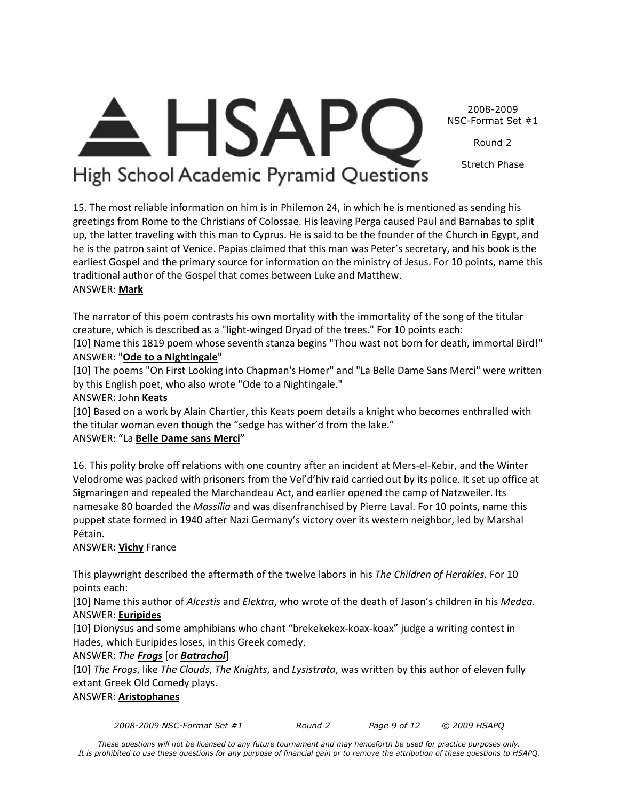2008-2009 NSC-Format Set #1

Round 2

Stretch Phase

# <del>A</del> HSAPC High School Academic Pyramid Questions

15. The most reliable information on him is in Philemon 24, in which he is mentioned as sending his greetings from Rome to the Christians of Colossae. His leaving Perga caused Paul and Barnabas to split up, the latter traveling with this man to Cyprus. He is said to be the founder of the Church in Egypt, and he is the patron saint of Venice. Papias claimed that this man was Peter's secretary, and his book is the earliest Gospel and the primary source for information on the ministry of Jesus. For 10 points, name this traditional author of the Gospel that comes between Luke and Matthew. ANSWER: **Mark**

The narrator of this poem contrasts his own mortality with the immortality of the song of the titular creature, which is described as a "light-winged Dryad of the trees." For 10 points each:

[10] Name this 1819 poem whose seventh stanza begins "Thou wast not born for death, immortal Bird!" ANSWER: "**Ode to a Nightingale**"

[10] The poems "On First Looking into Chapman's Homer" and "La Belle Dame Sans Merci" were written by this English poet, who also wrote "Ode to a Nightingale."

# ANSWER: John **Keats**

[10] Based on a work by Alain Chartier, this Keats poem details a knight who becomes enthralled with the titular woman even though the "sedge has wither'd from the lake."

# ANSWER: "La **Belle Dame sans Merci**"

16. This polity broke off relations with one country after an incident at Mers-el-Kebir, and the Winter Velodrome was packed with prisoners from the Vel'd'hiv raid carried out by its police. It set up office at Sigmaringen and repealed the Marchandeau Act, and earlier opened the camp of Natzweiler. Its namesake 80 boarded the *Massilia* and was disenfranchised by Pierre Laval. For 10 points, name this puppet state formed in 1940 after Nazi Germany's victory over its western neighbor, led by Marshal Pétain.

# ANSWER: **Vichy** France

This playwright described the aftermath of the twelve labors in his *The Children of Herakles.* For 10 points each:

[10] Name this author of *Alcestis* and *Elektra*, who wrote of the death of Jason's children in his *Medea*. ANSWER: **Euripides**

[10] Dionysus and some amphibians who chant "brekekekex-koax-koax" judge a writing contest in Hades, which Euripides loses, in this Greek comedy.

# ANSWER: *The Frogs* [or *Batrachoi*]

[10] *The Frogs*, like *The Clouds*, *The Knights*, and *Lysistrata*, was written by this author of eleven fully extant Greek Old Comedy plays.

# ANSWER: **Aristophanes**

*2008-2009 NSC-Format Set #1 Round 2 Page 9 of 12 © 2009 HSAPQ*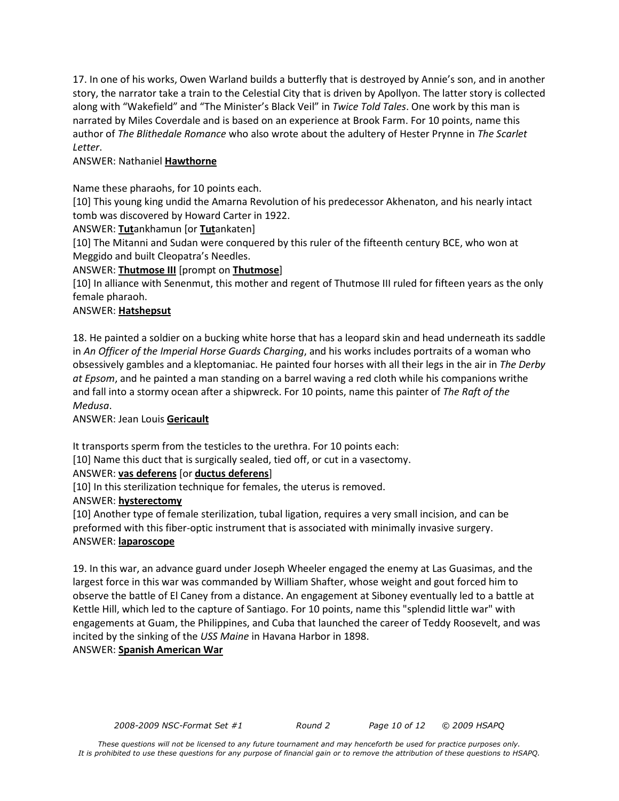17. In one of his works, Owen Warland builds a butterfly that is destroyed by Annie's son, and in another story, the narrator take a train to the Celestial City that is driven by Apollyon. The latter story is collected along with "Wakefield" and "The Minister's Black Veil" in *Twice Told Tales*. One work by this man is narrated by Miles Coverdale and is based on an experience at Brook Farm. For 10 points, name this author of *The Blithedale Romance* who also wrote about the adultery of Hester Prynne in *The Scarlet Letter*.

# ANSWER: Nathaniel **Hawthorne**

Name these pharaohs, for 10 points each.

[10] This young king undid the Amarna Revolution of his predecessor Akhenaton, and his nearly intact tomb was discovered by Howard Carter in 1922.

ANSWER: **Tut**ankhamun [or **Tut**ankaten]

[10] The Mitanni and Sudan were conquered by this ruler of the fifteenth century BCE, who won at Meggido and built Cleopatra's Needles.

ANSWER: **Thutmose III** [prompt on **Thutmose**]

[10] In alliance with Senenmut, this mother and regent of Thutmose III ruled for fifteen years as the only female pharaoh.

### ANSWER: **Hatshepsut**

18. He painted a soldier on a bucking white horse that has a leopard skin and head underneath its saddle in *An Officer of the Imperial Horse Guards Charging*, and his works includes portraits of a woman who obsessively gambles and a kleptomaniac. He painted four horses with all their legs in the air in *The Derby at Epsom*, and he painted a man standing on a barrel waving a red cloth while his companions writhe and fall into a stormy ocean after a shipwreck. For 10 points, name this painter of *The Raft of the Medusa*.

ANSWER: Jean Louis **Gericault**

It transports sperm from the testicles to the urethra. For 10 points each:

[10] Name this duct that is surgically sealed, tied off, or cut in a vasectomy.

# ANSWER: **vas deferens** [or **ductus deferens**]

[10] In this sterilization technique for females, the uterus is removed.

### ANSWER: **hysterectomy**

[10] Another type of female sterilization, tubal ligation, requires a very small incision, and can be preformed with this fiber-optic instrument that is associated with minimally invasive surgery. ANSWER: **laparoscope**

19. In this war, an advance guard under Joseph Wheeler engaged the enemy at Las Guasimas, and the largest force in this war was commanded by William Shafter, whose weight and gout forced him to observe the battle of El Caney from a distance. An engagement at Siboney eventually led to a battle at Kettle Hill, which led to the capture of Santiago. For 10 points, name this "splendid little war" with engagements at Guam, the Philippines, and Cuba that launched the career of Teddy Roosevelt, and was incited by the sinking of the *USS Maine* in Havana Harbor in 1898. ANSWER: **Spanish American War**

*2008-2009 NSC-Format Set #1 Round 2 Page 10 of 12 © 2009 HSAPQ*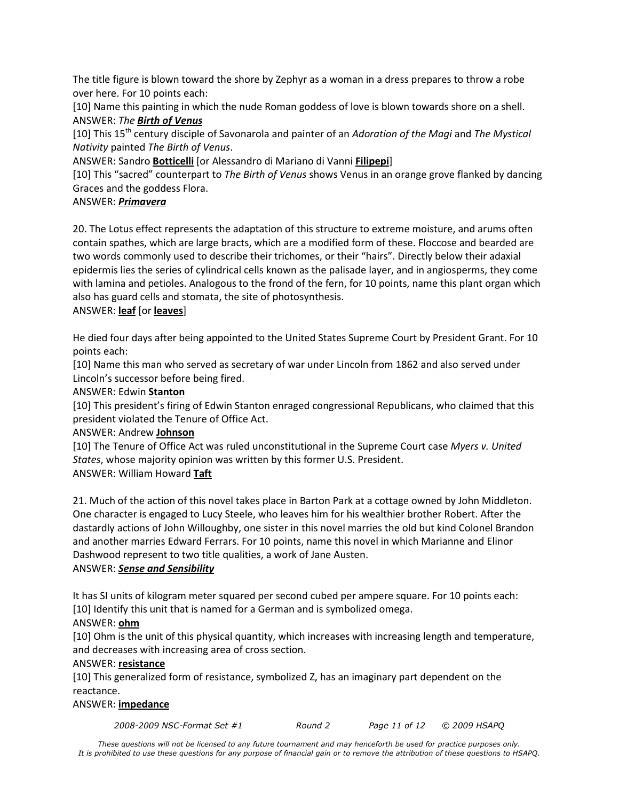The title figure is blown toward the shore by Zephyr as a woman in a dress prepares to throw a robe over here. For 10 points each:

[10] Name this painting in which the nude Roman goddess of love is blown towards shore on a shell. ANSWER: *The Birth of Venus*

[10] This 15th century disciple of Savonarola and painter of an *Adoration of the Magi* and *The Mystical Nativity* painted *The Birth of Venus*.

ANSWER: Sandro **Botticelli** [or Alessandro di Mariano di Vanni **Filipepi**]

[10] This "sacred" counterpart to *The Birth of Venus* shows Venus in an orange grove flanked by dancing Graces and the goddess Flora.

# ANSWER: *Primavera*

20. The Lotus effect represents the adaptation of this structure to extreme moisture, and arums often contain spathes, which are large bracts, which are a modified form of these. Floccose and bearded are two words commonly used to describe their trichomes, or their "hairs". Directly below their adaxial epidermis lies the series of cylindrical cells known as the palisade layer, and in angiosperms, they come with lamina and petioles. Analogous to the frond of the fern, for 10 points, name this plant organ which also has guard cells and stomata, the site of photosynthesis.

### ANSWER: **leaf** [or **leaves**]

He died four days after being appointed to the United States Supreme Court by President Grant. For 10 points each:

[10] Name this man who served as secretary of war under Lincoln from 1862 and also served under Lincoln's successor before being fired.

### ANSWER: Edwin **Stanton**

[10] This president's firing of Edwin Stanton enraged congressional Republicans, who claimed that this president violated the Tenure of Office Act.

### ANSWER: Andrew **Johnson**

[10] The Tenure of Office Act was ruled unconstitutional in the Supreme Court case *Myers v. United States*, whose majority opinion was written by this former U.S. President. ANSWER: William Howard **Taft**

21. Much of the action of this novel takes place in Barton Park at a cottage owned by John Middleton. One character is engaged to Lucy Steele, who leaves him for his wealthier brother Robert. After the dastardly actions of John Willoughby, one sister in this novel marries the old but kind Colonel Brandon and another marries Edward Ferrars. For 10 points, name this novel in which Marianne and Elinor Dashwood represent to two title qualities, a work of Jane Austen.

### ANSWER: *Sense and Sensibility*

It has SI units of kilogram meter squared per second cubed per ampere square. For 10 points each: [10] Identify this unit that is named for a German and is symbolized omega.

# ANSWER: **ohm**

[10] Ohm is the unit of this physical quantity, which increases with increasing length and temperature, and decreases with increasing area of cross section.

### ANSWER: **resistance**

[10] This generalized form of resistance, symbolized Z, has an imaginary part dependent on the reactance.

### ANSWER: **impedance**

*2008-2009 NSC-Format Set #1 Round 2 Page 11 of 12 © 2009 HSAPQ*